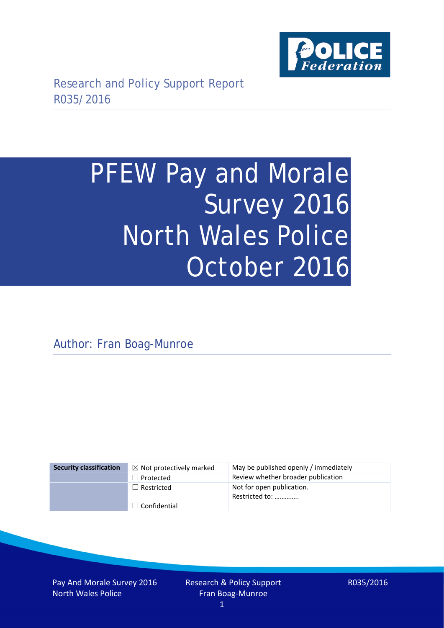

# PFEW Pay and Morale Survey 2016 North Wales Police October 2016

Author: Fran Boag-Munroe

| <b>Security classification</b> | $\boxtimes$ Not protectively marked | May be published openly / immediately       |
|--------------------------------|-------------------------------------|---------------------------------------------|
|                                | $\Box$ Protected                    | Review whether broader publication          |
|                                | $\Box$ Restricted                   | Not for open publication.<br>Restricted to: |
|                                | $\Box$ Confidential                 |                                             |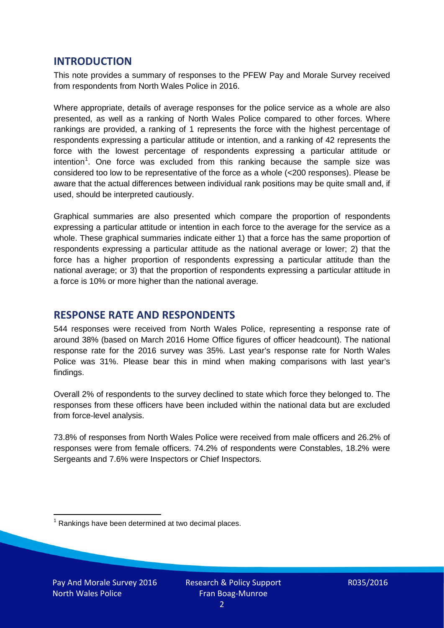## **INTRODUCTION**

This note provides a summary of responses to the PFEW Pay and Morale Survey received from respondents from North Wales Police in 2016.

Where appropriate, details of average responses for the police service as a whole are also presented, as well as a ranking of North Wales Police compared to other forces. Where rankings are provided, a ranking of 1 represents the force with the highest percentage of respondents expressing a particular attitude or intention, and a ranking of 42 represents the force with the lowest percentage of respondents expressing a particular attitude or intention<sup>[1](#page-1-0)</sup>. One force was excluded from this ranking because the sample size was considered too low to be representative of the force as a whole (<200 responses). Please be aware that the actual differences between individual rank positions may be quite small and, if used, should be interpreted cautiously.

Graphical summaries are also presented which compare the proportion of respondents expressing a particular attitude or intention in each force to the average for the service as a whole. These graphical summaries indicate either 1) that a force has the same proportion of respondents expressing a particular attitude as the national average or lower; 2) that the force has a higher proportion of respondents expressing a particular attitude than the national average; or 3) that the proportion of respondents expressing a particular attitude in a force is 10% or more higher than the national average.

# **RESPONSE RATE AND RESPONDENTS**

544 responses were received from North Wales Police, representing a response rate of around 38% (based on March 2016 Home Office figures of officer headcount). The national response rate for the 2016 survey was 35%. Last year's response rate for North Wales Police was 31%. Please bear this in mind when making comparisons with last year's findings.

Overall 2% of respondents to the survey declined to state which force they belonged to. The responses from these officers have been included within the national data but are excluded from force-level analysis.

73.8% of responses from North Wales Police were received from male officers and 26.2% of responses were from female officers. 74.2% of respondents were Constables, 18.2% were Sergeants and 7.6% were Inspectors or Chief Inspectors.

<span id="page-1-0"></span> $1$  Rankings have been determined at two decimal places.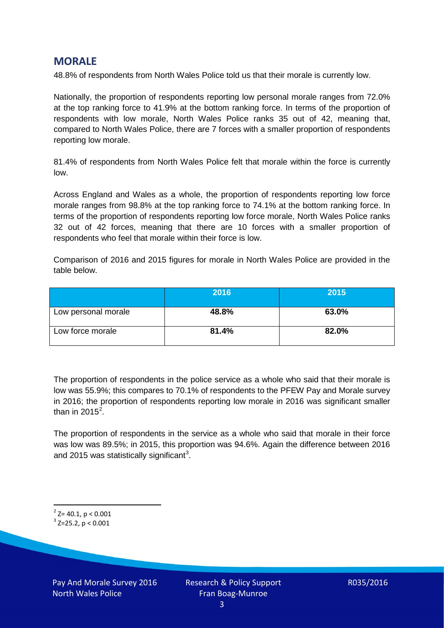# **MORALE**

48.8% of respondents from North Wales Police told us that their morale is currently low.

Nationally, the proportion of respondents reporting low personal morale ranges from 72.0% at the top ranking force to 41.9% at the bottom ranking force. In terms of the proportion of respondents with low morale, North Wales Police ranks 35 out of 42, meaning that, compared to North Wales Police, there are 7 forces with a smaller proportion of respondents reporting low morale.

81.4% of respondents from North Wales Police felt that morale within the force is currently low.

Across England and Wales as a whole, the proportion of respondents reporting low force morale ranges from 98.8% at the top ranking force to 74.1% at the bottom ranking force. In terms of the proportion of respondents reporting low force morale, North Wales Police ranks 32 out of 42 forces, meaning that there are 10 forces with a smaller proportion of respondents who feel that morale within their force is low.

Comparison of 2016 and 2015 figures for morale in North Wales Police are provided in the table below.

|                     | 2016  | 2015  |
|---------------------|-------|-------|
| Low personal morale | 48.8% | 63.0% |
| Low force morale    | 81.4% | 82.0% |

The proportion of respondents in the police service as a whole who said that their morale is low was 55.9%; this compares to 70.1% of respondents to the PFEW Pay and Morale survey in 2016; the proportion of respondents reporting low morale in 2016 was significant smaller than in [2](#page-2-0)015 $^2$ .

The proportion of respondents in the service as a whole who said that morale in their force was low was 89.5%; in 2015, this proportion was 94.6%. Again the difference between 2016 and 2015 was statistically significant<sup>[3](#page-2-1)</sup>.

<span id="page-2-0"></span> $2$ <sup>2</sup> Z= 40.1, p < 0.001

<span id="page-2-1"></span> $3$  Z=25.2, p < 0.001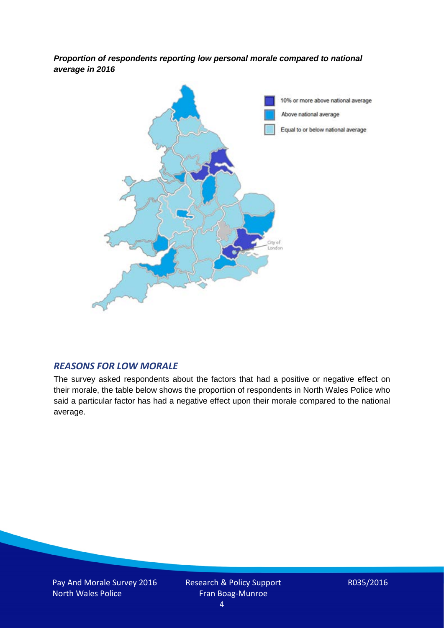*Proportion of respondents reporting low personal morale compared to national average in 2016*



## *REASONS FOR LOW MORALE*

The survey asked respondents about the factors that had a positive or negative effect on their morale, the table below shows the proportion of respondents in North Wales Police who said a particular factor has had a negative effect upon their morale compared to the national average.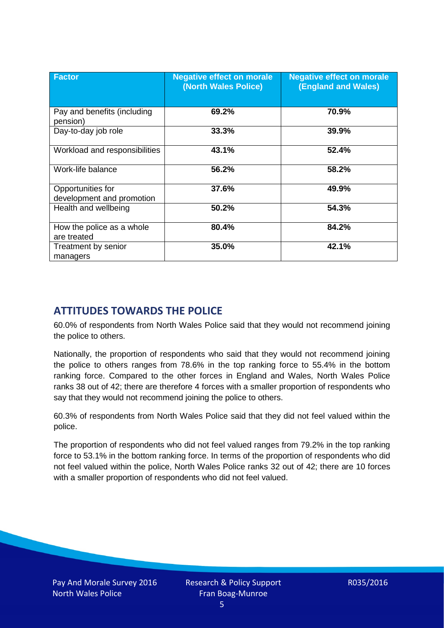| <b>Factor</b>                                  | <b>Negative effect on morale</b><br>(North Wales Police) | <b>Negative effect on morale</b><br><b>(England and Wales)</b> |
|------------------------------------------------|----------------------------------------------------------|----------------------------------------------------------------|
| Pay and benefits (including<br>pension)        | 69.2%                                                    | 70.9%                                                          |
| Day-to-day job role                            | 33.3%                                                    | 39.9%                                                          |
| Workload and responsibilities                  | 43.1%                                                    | 52.4%                                                          |
| Work-life balance                              | 56.2%                                                    | 58.2%                                                          |
| Opportunities for<br>development and promotion | 37.6%                                                    | 49.9%                                                          |
| Health and wellbeing                           | 50.2%                                                    | 54.3%                                                          |
| How the police as a whole<br>are treated       | 80.4%                                                    | 84.2%                                                          |
| Treatment by senior<br>managers                | 35.0%                                                    | 42.1%                                                          |

# **ATTITUDES TOWARDS THE POLICE**

60.0% of respondents from North Wales Police said that they would not recommend joining the police to others.

Nationally, the proportion of respondents who said that they would not recommend joining the police to others ranges from 78.6% in the top ranking force to 55.4% in the bottom ranking force. Compared to the other forces in England and Wales, North Wales Police ranks 38 out of 42; there are therefore 4 forces with a smaller proportion of respondents who say that they would not recommend joining the police to others.

60.3% of respondents from North Wales Police said that they did not feel valued within the police.

The proportion of respondents who did not feel valued ranges from 79.2% in the top ranking force to 53.1% in the bottom ranking force. In terms of the proportion of respondents who did not feel valued within the police, North Wales Police ranks 32 out of 42; there are 10 forces with a smaller proportion of respondents who did not feel valued.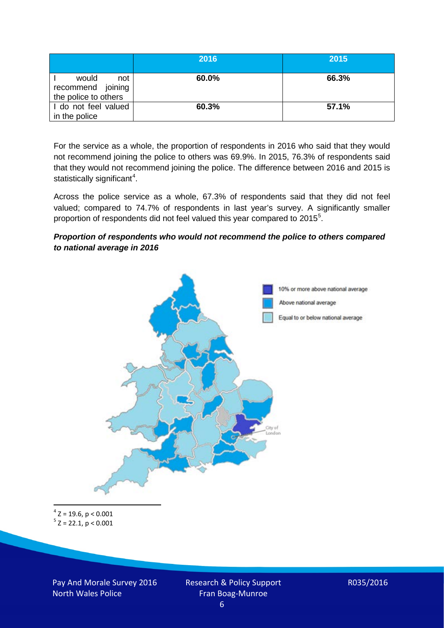|                                                           | 2016  | 2015  |
|-----------------------------------------------------------|-------|-------|
| would<br>not<br>recommend joining<br>the police to others | 60.0% | 66.3% |
| I do not feel valued<br>in the police                     | 60.3% | 57.1% |

For the service as a whole, the proportion of respondents in 2016 who said that they would not recommend joining the police to others was 69.9%. In 2015, 76.3% of respondents said that they would not recommend joining the police. The difference between 2016 and 2015 is statistically significant<sup>[4](#page-5-0)</sup>.

Across the police service as a whole, 67.3% of respondents said that they did not feel valued; compared to 74.7% of respondents in last year's survey. A significantly smaller proportion of respondents did not feel valued this year compared to 201[5](#page-5-1)<sup>5</sup>.

#### *Proportion of respondents who would not recommend the police to others compared to national average in 2016*



<span id="page-5-1"></span><span id="page-5-0"></span> $4$  Z = 19.6, p < 0.001  $5$  Z = 22.1, p < 0.001

Pay And Morale Survey 2016 North Wales Police

Research & Policy Support Fran Boag-Munroe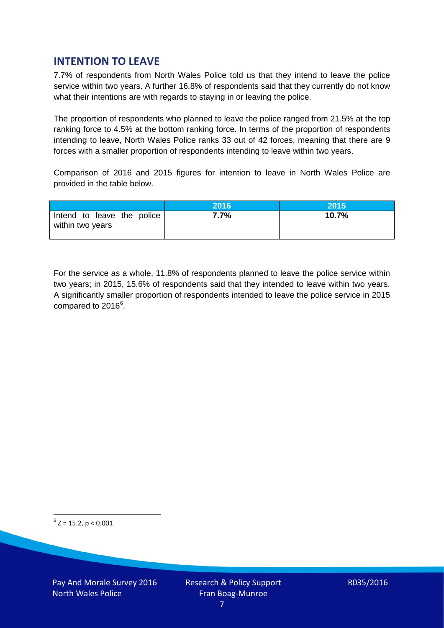# **INTENTION TO LEAVE**

7.7% of respondents from North Wales Police told us that they intend to leave the police service within two years. A further 16.8% of respondents said that they currently do not know what their intentions are with regards to staying in or leaving the police.

The proportion of respondents who planned to leave the police ranged from 21.5% at the top ranking force to 4.5% at the bottom ranking force. In terms of the proportion of respondents intending to leave, North Wales Police ranks 33 out of 42 forces, meaning that there are 9 forces with a smaller proportion of respondents intending to leave within two years.

Comparison of 2016 and 2015 figures for intention to leave in North Wales Police are provided in the table below.

|                                                | 2016 | 2015  |
|------------------------------------------------|------|-------|
| Intend to leave the police<br>within two years | 7.7% | 10.7% |

For the service as a whole, 11.8% of respondents planned to leave the police service within two years; in 2015, 15.6% of respondents said that they intended to leave within two years. A significantly smaller proportion of respondents intended to leave the police service in 2015 compared to 201[6](#page-6-0)<sup>6</sup>.

<span id="page-6-0"></span> $6$  Z = 15.2, p < 0.001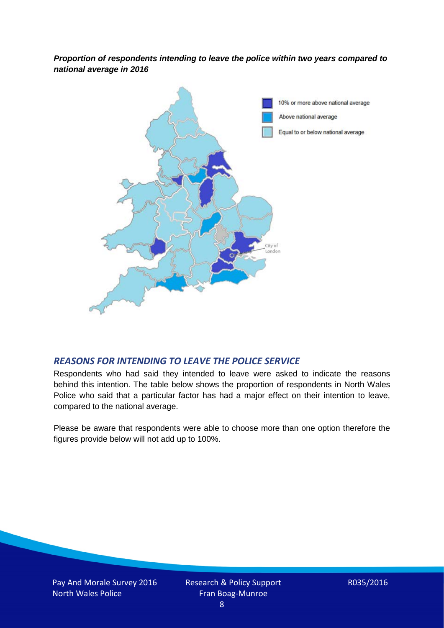*Proportion of respondents intending to leave the police within two years compared to national average in 2016*



## *REASONS FOR INTENDING TO LEAVE THE POLICE SERVICE*

Respondents who had said they intended to leave were asked to indicate the reasons behind this intention. The table below shows the proportion of respondents in North Wales Police who said that a particular factor has had a major effect on their intention to leave, compared to the national average.

Please be aware that respondents were able to choose more than one option therefore the figures provide below will not add up to 100%.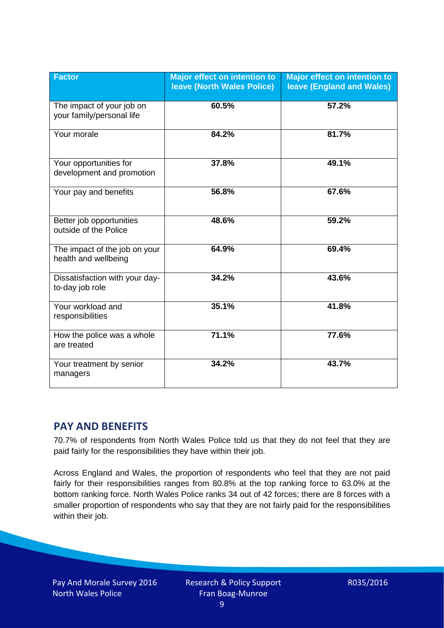| <b>Factor</b>                                          | <b>Major effect on intention to</b><br><b>leave (North Wales Police)</b> | <b>Major effect on intention to</b><br><b>leave (England and Wales)</b> |
|--------------------------------------------------------|--------------------------------------------------------------------------|-------------------------------------------------------------------------|
| The impact of your job on<br>your family/personal life | 60.5%                                                                    | 57.2%                                                                   |
| Your morale                                            | 84.2%                                                                    | 81.7%                                                                   |
| Your opportunities for<br>development and promotion    | 37.8%                                                                    | 49.1%                                                                   |
| Your pay and benefits                                  | 56.8%                                                                    | 67.6%                                                                   |
| Better job opportunities<br>outside of the Police      | 48.6%                                                                    | 59.2%                                                                   |
| The impact of the job on your<br>health and wellbeing  | 64.9%                                                                    | 69.4%                                                                   |
| Dissatisfaction with your day-<br>to-day job role      | 34.2%                                                                    | 43.6%                                                                   |
| Your workload and<br>responsibilities                  | 35.1%                                                                    | 41.8%                                                                   |
| How the police was a whole<br>are treated              | 71.1%                                                                    | 77.6%                                                                   |
| Your treatment by senior<br>managers                   | 34.2%                                                                    | 43.7%                                                                   |

# **PAY AND BENEFITS**

70.7% of respondents from North Wales Police told us that they do not feel that they are paid fairly for the responsibilities they have within their job.

Across England and Wales, the proportion of respondents who feel that they are not paid fairly for their responsibilities ranges from 80.8% at the top ranking force to 63.0% at the bottom ranking force. North Wales Police ranks 34 out of 42 forces; there are 8 forces with a smaller proportion of respondents who say that they are not fairly paid for the responsibilities within their job.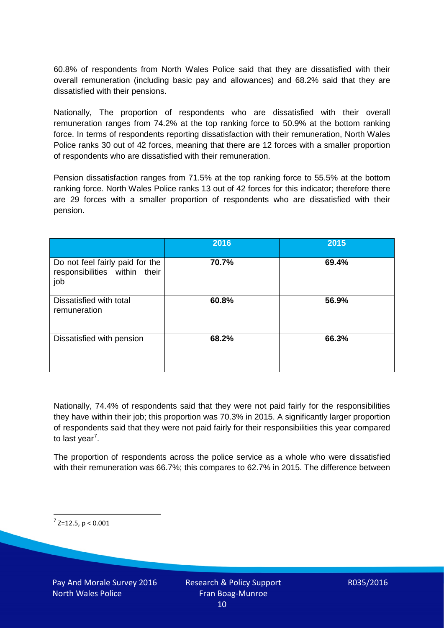60.8% of respondents from North Wales Police said that they are dissatisfied with their overall remuneration (including basic pay and allowances) and 68.2% said that they are dissatisfied with their pensions.

Nationally, The proportion of respondents who are dissatisfied with their overall remuneration ranges from 74.2% at the top ranking force to 50.9% at the bottom ranking force. In terms of respondents reporting dissatisfaction with their remuneration, North Wales Police ranks 30 out of 42 forces, meaning that there are 12 forces with a smaller proportion of respondents who are dissatisfied with their remuneration.

Pension dissatisfaction ranges from 71.5% at the top ranking force to 55.5% at the bottom ranking force. North Wales Police ranks 13 out of 42 forces for this indicator; therefore there are 29 forces with a smaller proportion of respondents who are dissatisfied with their pension.

|                                                                         | 2016  | 2015  |
|-------------------------------------------------------------------------|-------|-------|
| Do not feel fairly paid for the<br>responsibilities within their<br>job | 70.7% | 69.4% |
| Dissatisfied with total<br>remuneration                                 | 60.8% | 56.9% |
| Dissatisfied with pension                                               | 68.2% | 66.3% |

Nationally, 74.4% of respondents said that they were not paid fairly for the responsibilities they have within their job; this proportion was 70.3% in 2015. A significantly larger proportion of respondents said that they were not paid fairly for their responsibilities this year compared to last year<sup>[7](#page-9-0)</sup>.

The proportion of respondents across the police service as a whole who were dissatisfied with their remuneration was 66.7%; this compares to 62.7% in 2015. The difference between

<span id="page-9-0"></span> $7$  Z=12.5, p < 0.001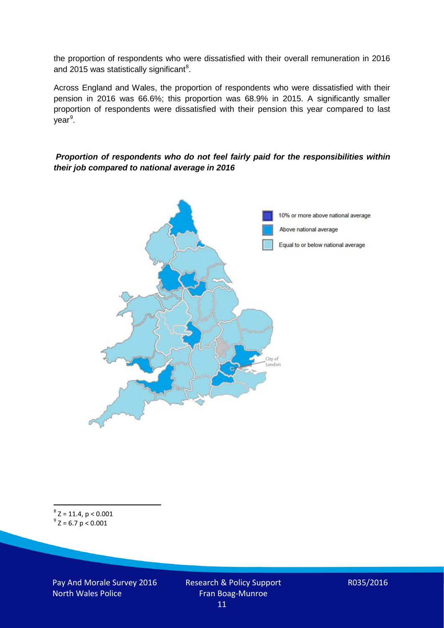the proportion of respondents who were dissatisfied with their overall remuneration in 2016 and 2015 was statistically significant<sup>[8](#page-10-0)</sup>.

Across England and Wales, the proportion of respondents who were dissatisfied with their pension in 2016 was 66.6%; this proportion was 68.9% in 2015. A significantly smaller proportion of respondents were dissatisfied with their pension this year compared to last year<sup>[9](#page-10-1)</sup>.

#### *Proportion of respondents who do not feel fairly paid for the responsibilities within their job compared to national average in 2016*



<span id="page-10-1"></span><span id="page-10-0"></span> ${}^{8}Z = 11.4, p < 0.001$ <br> ${}^{9}Z = 6.7 p < 0.001$